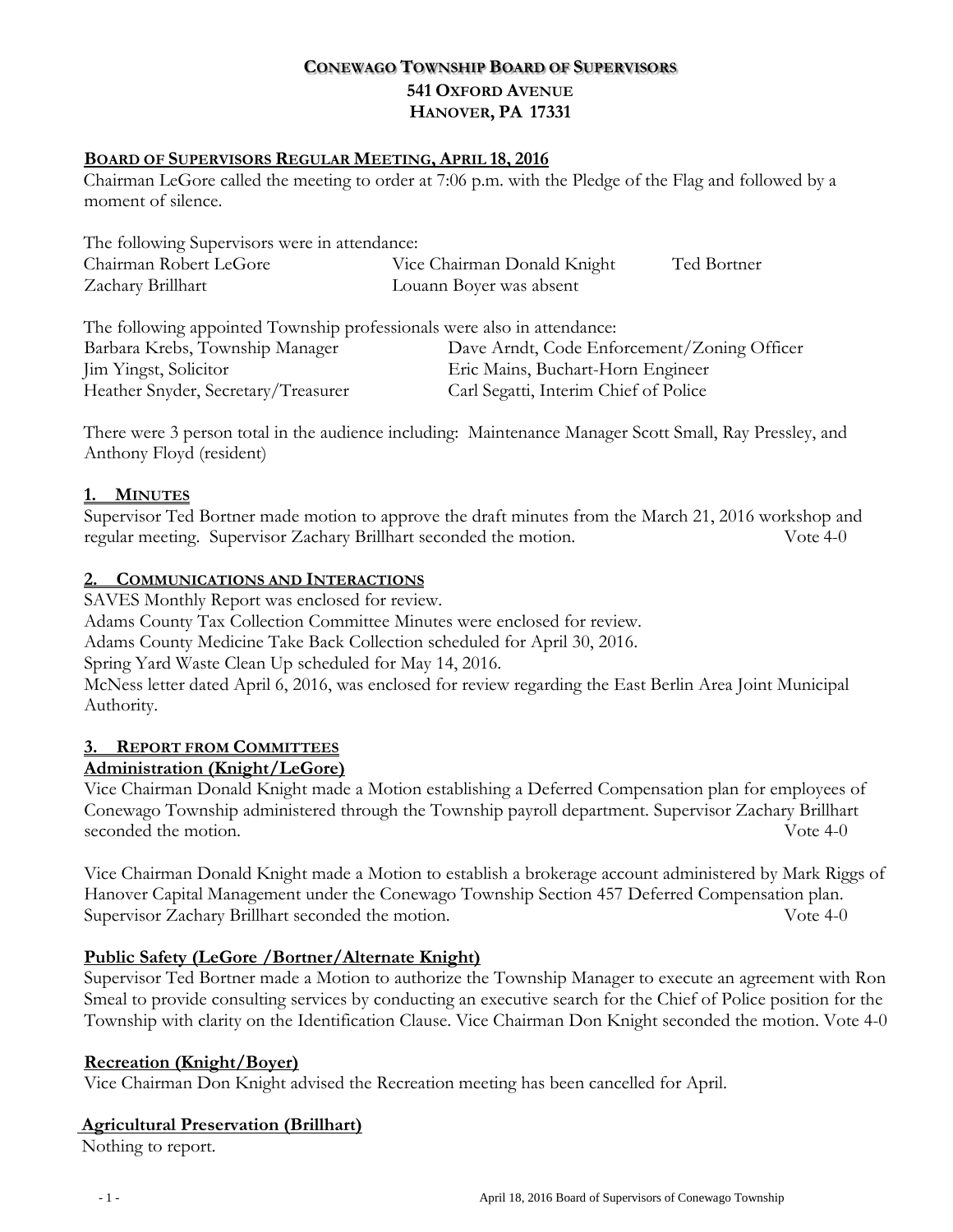# **CONEWAGO TOWNSHIP BOARD OF SUPERVISORS 541 OXFORD AVENUE HANOVER, PA 17331**

### **BOARD OF SUPERVISORS REGULAR MEETING, APRIL 18, 2016**

Chairman LeGore called the meeting to order at 7:06 p.m. with the Pledge of the Flag and followed by a moment of silence.

| The following Supervisors were in attendance: |                             |             |
|-----------------------------------------------|-----------------------------|-------------|
| Chairman Robert LeGore                        | Vice Chairman Donald Knight | Ted Bortner |
| Zachary Brillhart                             | Louann Boyer was absent     |             |
|                                               |                             |             |

| The following appointed Township professionals were also in attendance: |                                             |  |
|-------------------------------------------------------------------------|---------------------------------------------|--|
| Barbara Krebs, Township Manager                                         | Dave Arndt, Code Enforcement/Zoning Officer |  |
| Jim Yingst, Solicitor                                                   | Eric Mains, Buchart-Horn Engineer           |  |
| Heather Snyder, Secretary/Treasurer                                     | Carl Segatti, Interim Chief of Police       |  |

There were 3 person total in the audience including: Maintenance Manager Scott Small, Ray Pressley, and Anthony Floyd (resident)

#### **1. MINUTES**

Supervisor Ted Bortner made motion to approve the draft minutes from the March 21, 2016 workshop and regular meeting. Supervisor Zachary Brillhart seconded the motion. Vote 4-0

#### **2. COMMUNICATIONS AND INTERACTIONS**

SAVES Monthly Report was enclosed for review. Adams County Tax Collection Committee Minutes were enclosed for review. Adams County Medicine Take Back Collection scheduled for April 30, 2016. Spring Yard Waste Clean Up scheduled for May 14, 2016. McNess letter dated April 6, 2016, was enclosed for review regarding the East Berlin Area Joint Municipal Authority.

### **3. REPORT FROM COMMITTEES**

### **Administration (Knight/LeGore)**

Vice Chairman Donald Knight made a Motion establishing a Deferred Compensation plan for employees of Conewago Township administered through the Township payroll department. Supervisor Zachary Brillhart seconded the motion. Seconded the motion.

Vice Chairman Donald Knight made a Motion to establish a brokerage account administered by Mark Riggs of Hanover Capital Management under the Conewago Township Section 457 Deferred Compensation plan. Supervisor Zachary Brillhart seconded the motion. Vote 4-0

### **Public Safety (LeGore /Bortner/Alternate Knight)**

Supervisor Ted Bortner made a Motion to authorize the Township Manager to execute an agreement with Ron Smeal to provide consulting services by conducting an executive search for the Chief of Police position for the Township with clarity on the Identification Clause. Vice Chairman Don Knight seconded the motion. Vote 4-0

### **Recreation (Knight/Boyer)**

Vice Chairman Don Knight advised the Recreation meeting has been cancelled for April.

### **Agricultural Preservation (Brillhart)**

Nothing to report.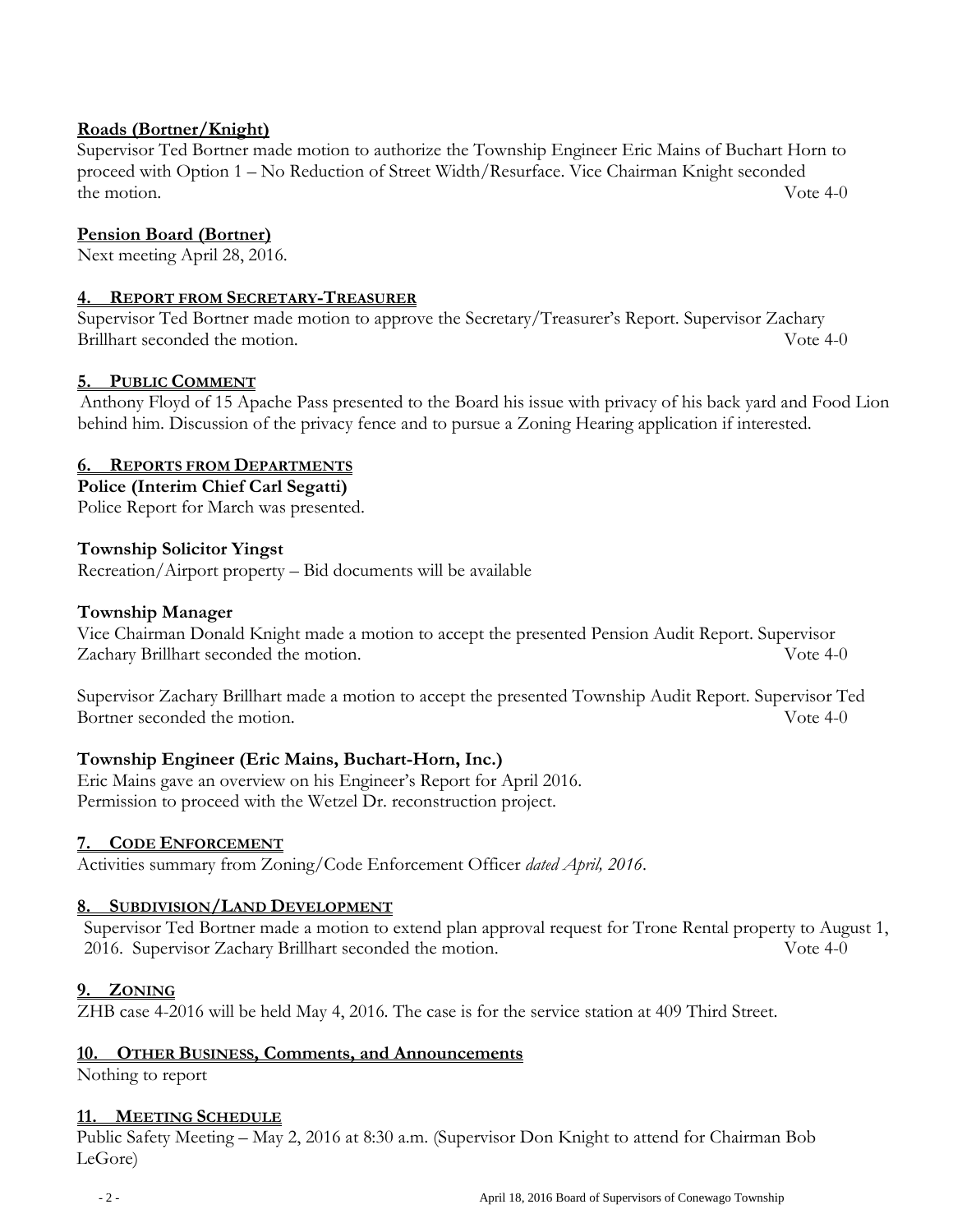## **Roads (Bortner/Knight)**

Supervisor Ted Bortner made motion to authorize the Township Engineer Eric Mains of Buchart Horn to proceed with Option 1 – No Reduction of Street Width/Resurface. Vice Chairman Knight seconded the motion. Vote 4-0

## **Pension Board (Bortner)**

Next meeting April 28, 2016.

### **4. REPORT FROM SECRETARY-TREASURER**

Supervisor Ted Bortner made motion to approve the Secretary/Treasurer's Report. Supervisor Zachary Brillhart seconded the motion. Vote 4-0

## **5. PUBLIC COMMENT**

Anthony Floyd of 15 Apache Pass presented to the Board his issue with privacy of his back yard and Food Lion behind him. Discussion of the privacy fence and to pursue a Zoning Hearing application if interested.

### **6. REPORTS FROM DEPARTMENTS**

## **Police (Interim Chief Carl Segatti)**

Police Report for March was presented.

### **Township Solicitor Yingst**

Recreation/Airport property – Bid documents will be available

#### **Township Manager**

Vice Chairman Donald Knight made a motion to accept the presented Pension Audit Report. Supervisor Zachary Brillhart seconded the motion. Vote 4-0

Supervisor Zachary Brillhart made a motion to accept the presented Township Audit Report. Supervisor Ted Bortner seconded the motion. Solve 4-0

### **Township Engineer (Eric Mains, Buchart-Horn, Inc.)**

Eric Mains gave an overview on his Engineer's Report for April 2016. Permission to proceed with the Wetzel Dr. reconstruction project.

### **7. CODE ENFORCEMENT**

Activities summary from Zoning/Code Enforcement Officer *dated April, 2016*.

### **8. SUBDIVISION/LAND DEVELOPMENT**

Supervisor Ted Bortner made a motion to extend plan approval request for Trone Rental property to August 1, 2016. Supervisor Zachary Brillhart seconded the motion. Vote 4-0

### **9. ZONING**

ZHB case 4-2016 will be held May 4, 2016. The case is for the service station at 409 Third Street.

### **10. OTHER BUSINESS, Comments, and Announcements**

Nothing to report

#### **11. MEETING SCHEDULE**

Public Safety Meeting – May 2, 2016 at 8:30 a.m. (Supervisor Don Knight to attend for Chairman Bob LeGore)